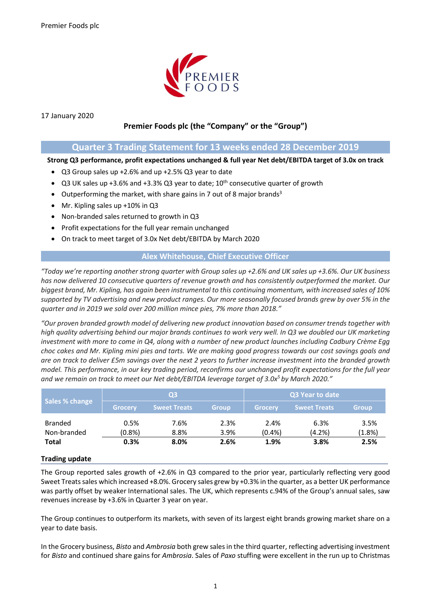

17 January 2020

## **Premier Foods plc (the "Company" or the "Group")**

### **Quarter 3 Trading Statement for 13 weeks ended 28 December 2019**

**Strong Q3 performance, profit expectations unchanged & full year Net debt/EBITDA target of 3.0x on track**

- Q3 Group sales up +2.6% and up +2.5% Q3 year to date
- Q3 UK sales up +3.6% and +3.3% Q3 year to date;  $10^{th}$  consecutive quarter of growth
- Outperforming the market, with share gains in 7 out of 8 major brands<sup>3</sup>
- Mr. Kipling sales up +10% in Q3
- Non-branded sales returned to growth in Q3
- Profit expectations for the full year remain unchanged
- On track to meet target of 3.0x Net debt/EBITDA by March 2020

#### **Alex Whitehouse, Chief Executive Officer**

*"Today we're reporting another strong quarter with Group sales up +2.6% and UK sales up +3.6%. Our UK business has now delivered 10 consecutive quarters of revenue growth and has consistently outperformed the market. Our biggest brand, Mr. Kipling, has again been instrumental to this continuing momentum, with increased sales of 10% supported by TV advertising and new product ranges. Our more seasonally focused brands grew by over 5% in the quarter and in 2019 we sold over 200 million mince pies, 7% more than 2018."*

*"Our proven branded growth model of delivering new product innovation based on consumer trends together with high quality advertising behind our major brands continues to work very well. In Q3 we doubled our UK marketing investment with more to come in Q4, along with a number of new product launches including Cadbury Crème Egg choc cakes and Mr. Kipling mini pies and tarts. We are making good progress towards our cost savings goals and are on track to deliver £5m savings over the next 2 years to further increase investment into the branded growth model. This performance, in our key trading period, reconfirms our unchanged profit expectations for the full year and we remain on track to meet our Net debt/EBITDA leverage target of 3.0x<sup>5</sup> by March 2020."*

| Sales % change                | Q3             |                     |              | Q3 Year to date   |                     |                |
|-------------------------------|----------------|---------------------|--------------|-------------------|---------------------|----------------|
|                               | <b>Grocery</b> | <b>Sweet Treats</b> | <b>Group</b> | <b>Grocery</b>    | <b>Sweet Treats</b> | <b>Group</b>   |
| <b>Branded</b><br>Non-branded | 0.5%<br>(0.8%) | 7.6%<br>8.8%        | 2.3%<br>3.9% | 2.4%<br>$(0.4\%)$ | 6.3%<br>(4.2%)      | 3.5%<br>(1.8%) |
| <b>Total</b>                  | 0.3%           | 8.0%                | 2.6%         | 1.9%              | 3.8%                | 2.5%           |

#### **Trading update**

The Group reported sales growth of +2.6% in Q3 compared to the prior year, particularly reflecting very good Sweet Treats sales which increased +8.0%. Grocery sales grew by +0.3% in the quarter, as a better UK performance was partly offset by weaker International sales. The UK, which represents c.94% of the Group's annual sales, saw revenues increase by +3.6% in Quarter 3 year on year.

The Group continues to outperform its markets, with seven of its largest eight brands growing market share on a year to date basis.

In the Grocery business, *Bisto* and *Ambrosia* both grew salesin the third quarter, reflecting advertising investment for *Bisto* and continued share gains for *Ambrosia*. Sales of *Paxo* stuffing were excellent in the run up to Christmas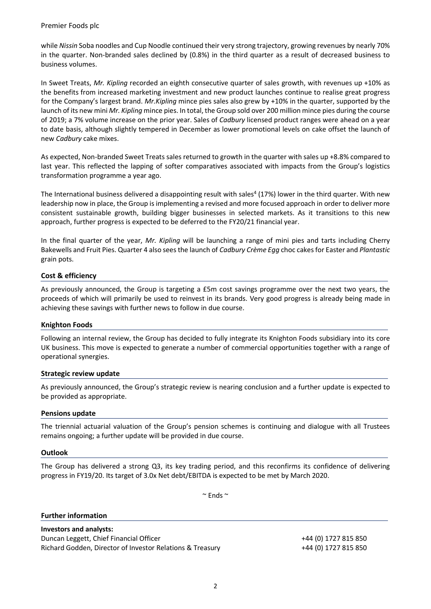while *Nissin* Soba noodles and Cup Noodle continued their very strong trajectory, growing revenues by nearly 70% in the quarter. Non-branded sales declined by (0.8%) in the third quarter as a result of decreased business to business volumes.

In Sweet Treats, *Mr. Kipling* recorded an eighth consecutive quarter of sales growth, with revenues up +10% as the benefits from increased marketing investment and new product launches continue to realise great progress for the Company's largest brand. *Mr.Kipling* mince pies sales also grew by +10% in the quarter, supported by the launch of its new mini *Mr. Kipling* mince pies. In total, the Group sold over 200 million mince pies during the course of 2019; a 7% volume increase on the prior year. Sales of *Cadbury* licensed product ranges were ahead on a year to date basis, although slightly tempered in December as lower promotional levels on cake offset the launch of new *Cadbury* cake mixes.

As expected, Non-branded Sweet Treats sales returned to growth in the quarter with sales up +8.8% compared to last year. This reflected the lapping of softer comparatives associated with impacts from the Group's logistics transformation programme a year ago.

The International business delivered a disappointing result with sales<sup>4</sup> (17%) lower in the third quarter. With new leadership now in place, the Group is implementing a revised and more focused approach in order to deliver more consistent sustainable growth, building bigger businesses in selected markets. As it transitions to this new approach, further progress is expected to be deferred to the FY20/21 financial year.

In the final quarter of the year, *Mr. Kipling* will be launching a range of mini pies and tarts including Cherry Bakewells and Fruit Pies. Quarter 4 also sees the launch of *Cadbury Crème Egg* choc cakes for Easter and *Plantastic* grain pots.

#### **Cost & efficiency**

As previously announced, the Group is targeting a £5m cost savings programme over the next two years, the proceeds of which will primarily be used to reinvest in its brands. Very good progress is already being made in achieving these savings with further news to follow in due course.

#### **Knighton Foods**

Following an internal review, the Group has decided to fully integrate its Knighton Foods subsidiary into its core UK business. This move is expected to generate a number of commercial opportunities together with a range of operational synergies.

#### **Strategic review update**

As previously announced, the Group's strategic review is nearing conclusion and a further update is expected to be provided as appropriate.

#### **Pensions update**

The triennial actuarial valuation of the Group's pension schemes is continuing and dialogue with all Trustees remains ongoing; a further update will be provided in due course.

#### **Outlook**

The Group has delivered a strong Q3, its key trading period, and this reconfirms its confidence of delivering progress in FY19/20. Its target of 3.0x Net debt/EBITDA is expected to be met by March 2020.

 $\sim$  Ends  $\sim$ 

#### **Further information**

## **Investors and analysts:**

Duncan Leggett, Chief Financial Officer +44 (0) 1727 815 850 Richard Godden, Director of Investor Relations & Treasury +44 (0) 1727 815 850